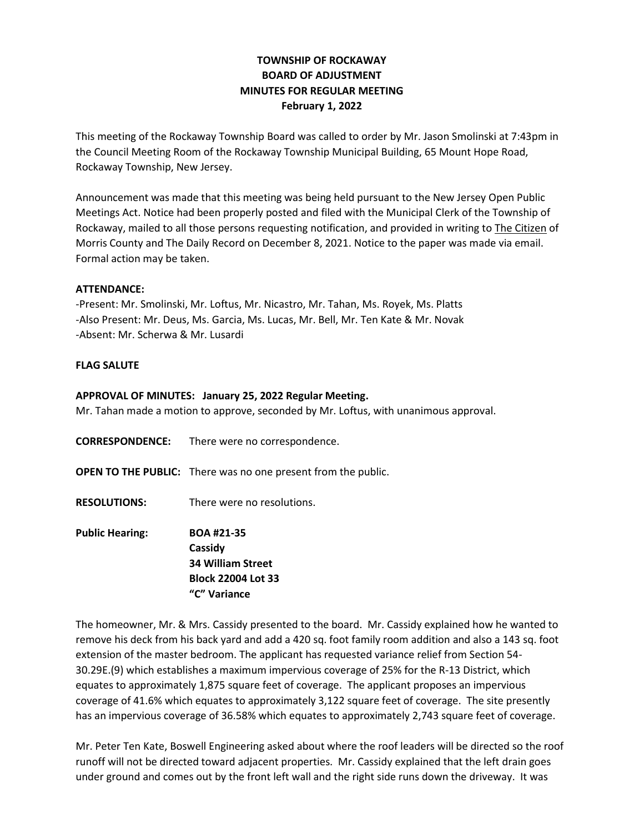## **TOWNSHIP OF ROCKAWAY BOARD OF ADJUSTMENT MINUTES FOR REGULAR MEETING February 1, 2022**

This meeting of the Rockaway Township Board was called to order by Mr. Jason Smolinski at 7:43pm in the Council Meeting Room of the Rockaway Township Municipal Building, 65 Mount Hope Road, Rockaway Township, New Jersey.

Announcement was made that this meeting was being held pursuant to the New Jersey Open Public Meetings Act. Notice had been properly posted and filed with the Municipal Clerk of the Township of Rockaway, mailed to all those persons requesting notification, and provided in writing to The Citizen of Morris County and The Daily Record on December 8, 2021. Notice to the paper was made via email. Formal action may be taken.

## **ATTENDANCE:**

-Present: Mr. Smolinski, Mr. Loftus, Mr. Nicastro, Mr. Tahan, Ms. Royek, Ms. Platts -Also Present: Mr. Deus, Ms. Garcia, Ms. Lucas, Mr. Bell, Mr. Ten Kate & Mr. Novak -Absent: Mr. Scherwa & Mr. Lusardi

## **FLAG SALUTE**

## **APPROVAL OF MINUTES: January 25, 2022 Regular Meeting.**

Mr. Tahan made a motion to approve, seconded by Mr. Loftus, with unanimous approval.

- **CORRESPONDENCE:** There were no correspondence.
- **OPEN TO THE PUBLIC:** There was no one present from the public.
- **RESOLUTIONS:** There were no resolutions.
- **Public Hearing: BOA #21-35 Cassidy 34 William Street Block 22004 Lot 33 "C" Variance**

The homeowner, Mr. & Mrs. Cassidy presented to the board. Mr. Cassidy explained how he wanted to remove his deck from his back yard and add a 420 sq. foot family room addition and also a 143 sq. foot extension of the master bedroom. The applicant has requested variance relief from Section 54- 30.29E.(9) which establishes a maximum impervious coverage of 25% for the R-13 District, which equates to approximately 1,875 square feet of coverage. The applicant proposes an impervious coverage of 41.6% which equates to approximately 3,122 square feet of coverage. The site presently has an impervious coverage of 36.58% which equates to approximately 2,743 square feet of coverage.

Mr. Peter Ten Kate, Boswell Engineering asked about where the roof leaders will be directed so the roof runoff will not be directed toward adjacent properties. Mr. Cassidy explained that the left drain goes under ground and comes out by the front left wall and the right side runs down the driveway. It was